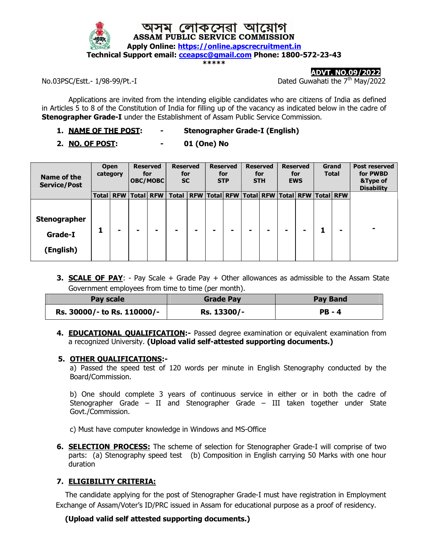

ADVT. NO.09/2022

No.03PSC/Estt.-  $1/98-99/Pt. -I$  Dated Guwahati the  $7<sup>th</sup> May/2022$ 

Applications are invited from the intending eligible candidates who are citizens of India as defined in Articles 5 to 8 of the Constitution of India for filling up of the vacancy as indicated below in the cadre of **Stenographer Grade-I** under the Establishment of Assam Public Service Commission.

- 1. NAME OF THE POST: Stenographer Grade-I (English)
- 2. NO. OF POST: 01 (One) No

| Name of the<br><b>Service/Post</b>          |       | <b>Open</b><br>category |   | <b>Reserved</b><br>for<br>OBC/MOBC | <b>Reserved</b><br>for<br><b>SC</b> | <b>Reserved</b><br>for<br><b>STP</b> | <b>Reserved</b><br>for<br><b>STH</b>                        |  | <b>Reserved</b><br>for<br><b>EWS</b> | <b>Total</b> | Grand | <b>Post reserved</b><br>for PWBD<br>&Type of<br><b>Disability</b> |
|---------------------------------------------|-------|-------------------------|---|------------------------------------|-------------------------------------|--------------------------------------|-------------------------------------------------------------|--|--------------------------------------|--------------|-------|-------------------------------------------------------------------|
|                                             | Total | <b>RFW</b>              |   | <b>Total RFW</b>                   | <b>Total</b>                        |                                      | RFW   Total   RFW   Total   RFW   Total   RFW   Total   RFW |  |                                      |              |       |                                                                   |
| <b>Stenographer</b><br>Grade-I<br>(English) |       |                         | - |                                    |                                     |                                      | ۰                                                           |  |                                      |              |       | ۰                                                                 |

**3. SCALE OF PAY**: - Pay Scale + Grade Pay + Other allowances as admissible to the Assam State Government employees from time to time (per month).

| Pay scale                   | <b>Grade Pay</b> | <b>Pay Band</b> |
|-----------------------------|------------------|-----------------|
| Rs. 30000/- to Rs. 110000/- | Rs. 13300/-      | <b>PB - 4</b>   |

4. **EDUCATIONAL QUALIFICATION:** Passed degree examination or equivalent examination from a recognized University. (Upload valid self-attested supporting documents.)

#### 5. OTHER QUALIFICATIONS:-

a) Passed the speed test of 120 words per minute in English Stenography conducted by the Board/Commission.

b) One should complete 3 years of continuous service in either or in both the cadre of Stenographer Grade – II and Stenographer Grade – III taken together under State Govt./Commission.

c) Must have computer knowledge in Windows and MS-Office

6. **SELECTION PROCESS:** The scheme of selection for Stenographer Grade-I will comprise of two parts: (a) Stenography speed test (b) Composition in English carrying 50 Marks with one hour duration

## 7. ELIGIBILITY CRITERIA:

 The candidate applying for the post of Stenographer Grade-I must have registration in Employment Exchange of Assam/Voter's ID/PRC issued in Assam for educational purpose as a proof of residency.

### (Upload valid self attested supporting documents.)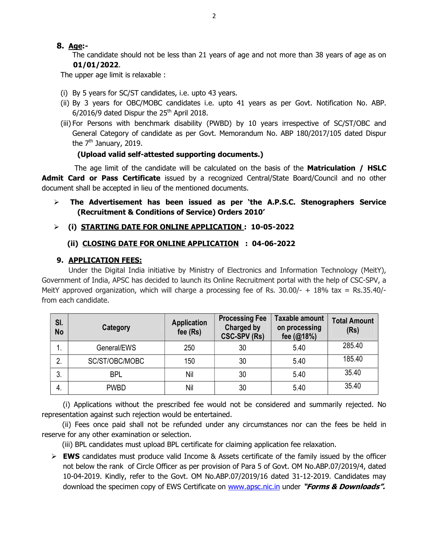## 8. Age:-

 The candidate should not be less than 21 years of age and not more than 38 years of age as on 01/01/2022.

The upper age limit is relaxable :

- (i) By 5 years for SC/ST candidates, i.e. upto 43 years.
- (ii) By 3 years for OBC/MOBC candidates i.e. upto 41 years as per Govt. Notification No. ABP.  $6/2016/9$  dated Dispur the  $25<sup>th</sup>$  April 2018.
- (iii) For Persons with benchmark disability (PWBD) by 10 years irrespective of SC/ST/OBC and General Category of candidate as per Govt. Memorandum No. ABP 180/2017/105 dated Dispur the  $7<sup>th</sup>$  January, 2019.

## (Upload valid self-attested supporting documents.)

The age limit of the candidate will be calculated on the basis of the **Matriculation / HSLC** Admit Card or Pass Certificate issued by a recognized Central/State Board/Council and no other document shall be accepted in lieu of the mentioned documents.

 $\triangleright$  The Advertisement has been issued as per 'the A.P.S.C. Stenographers Service (Recruitment & Conditions of Service) Orders 2010'

## (i) STARTING DATE FOR ONLINE APPLICATION : 10-05-2022

### (ii) CLOSING DATE FOR ONLINE APPLICATION : 04-06-2022

### 9. APPLICATION FEES:

Under the Digital India initiative by Ministry of Electronics and Information Technology (MeitY), Government of India, APSC has decided to launch its Online Recruitment portal with the help of CSC-SPV, a MeitY approved organization, which will charge a processing fee of Rs.  $30.00/- + 18\%$  tax = Rs.35.40/from each candidate.

| SI.<br><b>No</b> | Category       | <b>Application</b><br>fee $(Rs)$ | <b>Processing Fee</b><br><b>Charged by</b><br><b>CSC-SPV (Rs)</b> | Taxable amount<br>on processing<br>fee (@18%) | <b>Total Amount</b><br>(Rs) |
|------------------|----------------|----------------------------------|-------------------------------------------------------------------|-----------------------------------------------|-----------------------------|
|                  | General/EWS    | 250                              | 30                                                                | 5.40                                          | 285.40                      |
| 2.               | SC/ST/OBC/MOBC | 150                              | 30                                                                | 5.40                                          | 185.40                      |
| 3.               | <b>BPL</b>     | Nil                              | 30                                                                | 5.40                                          | 35.40                       |
| 4.               | <b>PWBD</b>    | Nil                              | 30                                                                | 5.40                                          | 35.40                       |

 (i) Applications without the prescribed fee would not be considered and summarily rejected. No representation against such rejection would be entertained.

 (ii) Fees once paid shall not be refunded under any circumstances nor can the fees be held in reserve for any other examination or selection.

(iii) BPL candidates must upload BPL certificate for claiming application fee relaxation.

 $\triangleright$  **EWS** candidates must produce valid Income & Assets certificate of the family issued by the officer not below the rank of Circle Officer as per provision of Para 5 of Govt. OM No.ABP.07/2019/4, dated 10-04-2019. Kindly, refer to the Govt. OM No.ABP.07/2019/16 dated 31-12-2019. Candidates may download the specimen copy of EWS Certificate on www.apsc.nic.in under "Forms & Downloads".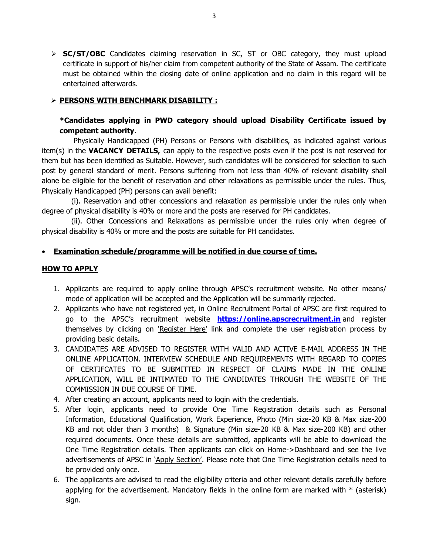$\triangleright$  **SC/ST/OBC** Candidates claiming reservation in SC, ST or OBC category, they must upload certificate in support of his/her claim from competent authority of the State of Assam. The certificate must be obtained within the closing date of online application and no claim in this regard will be entertained afterwards.

### > PERSONS WITH BENCHMARK DISABILITY :

## \*Candidates applying in PWD category should upload Disability Certificate issued by competent authority.

 Physically Handicapped (PH) Persons or Persons with disabilities, as indicated against various item(s) in the **VACANCY DETAILS**, can apply to the respective posts even if the post is not reserved for them but has been identified as Suitable. However, such candidates will be considered for selection to such post by general standard of merit. Persons suffering from not less than 40% of relevant disability shall alone be eligible for the benefit of reservation and other relaxations as permissible under the rules. Thus, Physically Handicapped (PH) persons can avail benefit:

 (i). Reservation and other concessions and relaxation as permissible under the rules only when degree of physical disability is 40% or more and the posts are reserved for PH candidates.

 (ii). Other Concessions and Relaxations as permissible under the rules only when degree of physical disability is 40% or more and the posts are suitable for PH candidates.

#### Examination schedule/programme will be notified in due course of time.

#### **HOW TO APPLY**

- 1. Applicants are required to apply online through APSC's recruitment website. No other means/ mode of application will be accepted and the Application will be summarily rejected.
- 2. Applicants who have not registered yet, in Online Recruitment Portal of APSC are first required to go to the APSC's recruitment website **https://online.apscrecruitment.in** and register themselves by clicking on 'Register Here' link and complete the user registration process by providing basic details.
- 3. CANDIDATES ARE ADVISED TO REGISTER WITH VALID AND ACTIVE E-MAIL ADDRESS IN THE ONLINE APPLICATION. INTERVIEW SCHEDULE AND REQUIREMENTS WITH REGARD TO COPIES OF CERTIFCATES TO BE SUBMITTED IN RESPECT OF CLAIMS MADE IN THE ONLINE APPLICATION, WILL BE INTIMATED TO THE CANDIDATES THROUGH THE WEBSITE OF THE COMMISSION IN DUE COURSE OF TIME.
- 4. After creating an account, applicants need to login with the credentials.
- 5. After login, applicants need to provide One Time Registration details such as Personal Information, Educational Qualification, Work Experience, Photo (Min size-20 KB & Max size-200 KB and not older than 3 months) & Signature (Min size-20 KB & Max size-200 KB) and other required documents. Once these details are submitted, applicants will be able to download the One Time Registration details. Then applicants can click on Home->Dashboard and see the live advertisements of APSC in 'Apply Section'. Please note that One Time Registration details need to be provided only once.
- 6. The applicants are advised to read the eligibility criteria and other relevant details carefully before applying for the advertisement. Mandatory fields in the online form are marked with  $*$  (asterisk) sign.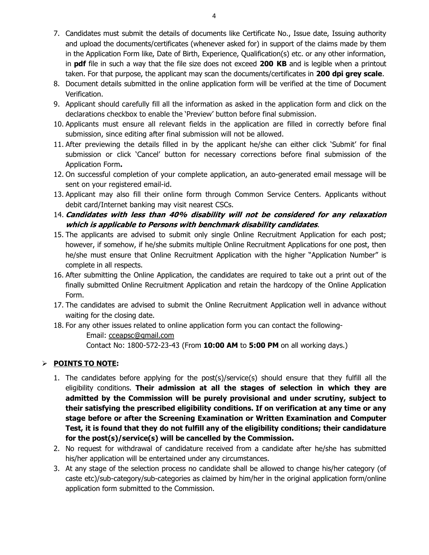- 7. Candidates must submit the details of documents like Certificate No., Issue date, Issuing authority and upload the documents/certificates (whenever asked for) in support of the claims made by them in the Application Form like, Date of Birth, Experience, Qualification(s) etc. or any other information, in  $pdf$  file in such a way that the file size does not exceed  $200$  KB and is legible when a printout taken. For that purpose, the applicant may scan the documents/certificates in 200 dpi grey scale.
- 8. Document details submitted in the online application form will be verified at the time of Document Verification.
- 9. Applicant should carefully fill all the information as asked in the application form and click on the declarations checkbox to enable the 'Preview' button before final submission.
- 10. Applicants must ensure all relevant fields in the application are filled in correctly before final submission, since editing after final submission will not be allowed.
- 11. After previewing the details filled in by the applicant he/she can either click 'Submit' for final submission or click 'Cancel' button for necessary corrections before final submission of the Application Form.
- 12. On successful completion of your complete application, an auto-generated email message will be sent on your registered email-id.
- 13. Applicant may also fill their online form through Common Service Centers. Applicants without debit card/Internet banking may visit nearest CSCs.
- 14. Candidates with less than 40% disability will not be considered for any relaxation which is applicable to Persons with benchmark disability candidates.
- 15. The applicants are advised to submit only single Online Recruitment Application for each post; however, if somehow, if he/she submits multiple Online Recruitment Applications for one post, then he/she must ensure that Online Recruitment Application with the higher "Application Number" is complete in all respects.
- 16. After submitting the Online Application, the candidates are required to take out a print out of the finally submitted Online Recruitment Application and retain the hardcopy of the Online Application Form.
- 17. The candidates are advised to submit the Online Recruitment Application well in advance without waiting for the closing date.

18. For any other issues related to online application form you can contact the following-

 Email: cceapsc@gmail.com Contact No: 1800-572-23-43 (From 10:00 AM to 5:00 PM on all working days.)

## $\triangleright$  POINTS TO NOTE:

- 1. The candidates before applying for the post(s)/service(s) should ensure that they fulfill all the eligibility conditions. Their admission at all the stages of selection in which they are admitted by the Commission will be purely provisional and under scrutiny, subject to their satisfying the prescribed eligibility conditions. If on verification at any time or any stage before or after the Screening Examination or Written Examination and Computer Test, it is found that they do not fulfill any of the eligibility conditions; their candidature for the post(s)/service(s) will be cancelled by the Commission.
- 2. No request for withdrawal of candidature received from a candidate after he/she has submitted his/her application will be entertained under any circumstances.
- 3. At any stage of the selection process no candidate shall be allowed to change his/her category (of caste etc)/sub-category/sub-categories as claimed by him/her in the original application form/online application form submitted to the Commission.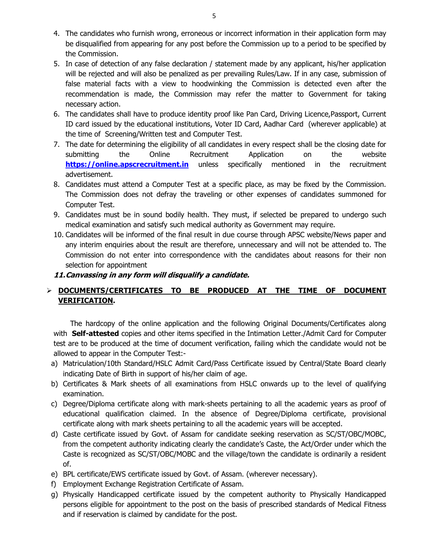- 4. The candidates who furnish wrong, erroneous or incorrect information in their application form may be disqualified from appearing for any post before the Commission up to a period to be specified by the Commission.
- 5. In case of detection of any false declaration / statement made by any applicant, his/her application will be rejected and will also be penalized as per prevailing Rules/Law. If in any case, submission of false material facts with a view to hoodwinking the Commission is detected even after the recommendation is made, the Commission may refer the matter to Government for taking necessary action.
- 6. The candidates shall have to produce identity proof like Pan Card, Driving Licence,Passport, Current ID card issued by the educational institutions, Voter ID Card, Aadhar Card (wherever applicable) at the time of Screening/Written test and Computer Test.
- 7. The date for determining the eligibility of all candidates in every respect shall be the closing date for submitting the Online Recruitment Application on the website https://online.apscrecruitment.in unless specifically mentioned in the recruitment advertisement.
- 8. Candidates must attend a Computer Test at a specific place, as may be fixed by the Commission. The Commission does not defray the traveling or other expenses of candidates summoned for Computer Test.
- 9. Candidates must be in sound bodily health. They must, if selected be prepared to undergo such medical examination and satisfy such medical authority as Government may require.
- 10. Candidates will be informed of the final result in due course through APSC website/News paper and any interim enquiries about the result are therefore, unnecessary and will not be attended to. The Commission do not enter into correspondence with the candidates about reasons for their non selection for appointment.

#### 11.Canvassing in any form will disqualify a candidate.

# $\triangleright$  <u>DOCUMENTS/CERTIFICATES TO BE PRODUCED AT THE TIME OF DOCUMENT</u> VERIFICATION.

 The hardcopy of the online application and the following Original Documents/Certificates along with Self-attested copies and other items specified in the Intimation Letter./Admit Card for Computer test are to be produced at the time of document verification, failing which the candidate would not be allowed to appear in the Computer Test:-

- a) Matriculation/10th Standard/HSLC Admit Card/Pass Certificate issued by Central/State Board clearly indicating Date of Birth in support of his/her claim of age.
- b) Certificates & Mark sheets of all examinations from HSLC onwards up to the level of qualifying examination.
- c) Degree/Diploma certificate along with mark-sheets pertaining to all the academic years as proof of educational qualification claimed. In the absence of Degree/Diploma certificate, provisional certificate along with mark sheets pertaining to all the academic years will be accepted.
- d) Caste certificate issued by Govt. of Assam for candidate seeking reservation as SC/ST/OBC/MOBC, from the competent authority indicating clearly the candidate's Caste, the Act/Order under which the Caste is recognized as SC/ST/OBC/MOBC and the village/town the candidate is ordinarily a resident of.
- e) BPL certificate/EWS certificate issued by Govt. of Assam. (wherever necessary).
- f) Employment Exchange Registration Certificate of Assam.
- g) Physically Handicapped certificate issued by the competent authority to Physically Handicapped persons eligible for appointment to the post on the basis of prescribed standards of Medical Fitness and if reservation is claimed by candidate for the post.